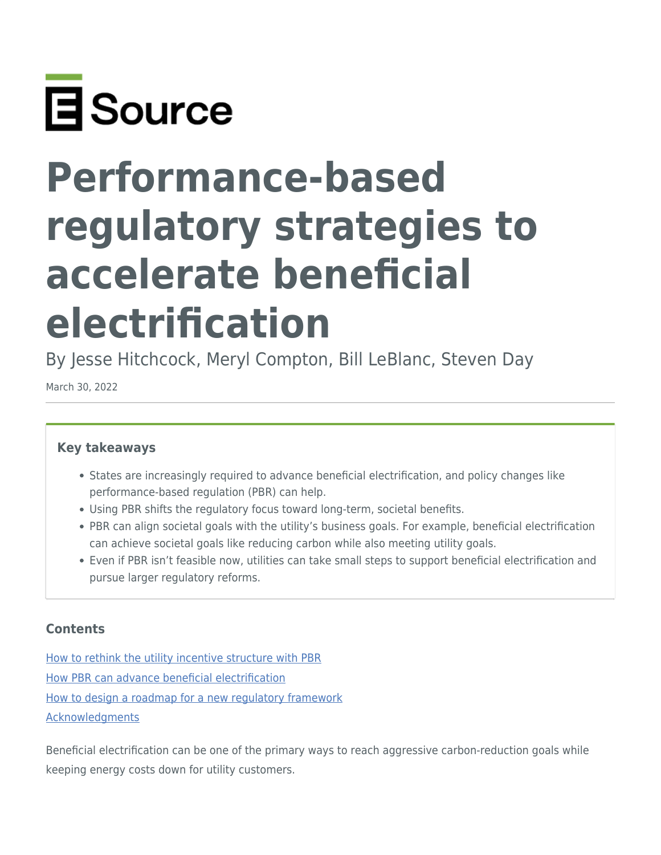

# **Performance-based regulatory strategies to accelerate beneficial electrification**

By Jesse Hitchcock, Meryl Compton, Bill LeBlanc, Steven Day

March 30, 2022

#### **Key takeaways**

- States are increasingly required to advance beneficial electrification, and policy changes like performance-based regulation (PBR) can help.
- Using PBR shifts the regulatory focus toward long-term, societal benefits.
- PBR can align societal goals with the utility's business goals. For example, beneficial electrification can achieve societal goals like reducing carbon while also meeting utility goals.
- Even if PBR isn't feasible now, utilities can take small steps to support beneficial electrification and pursue larger regulatory reforms.

#### **Contents**

[How to rethink the utility incentive structure with PBR](#page-3-0) [How PBR can advance beneficial electrification](#page-8-0) [How to design a roadmap for a new regulatory framework](#page-11-0) [Acknowledgments](#page-17-0)

Beneficial electrification can be one of the primary ways to reach aggressive carbon-reduction goals while keeping energy costs down for utility customers.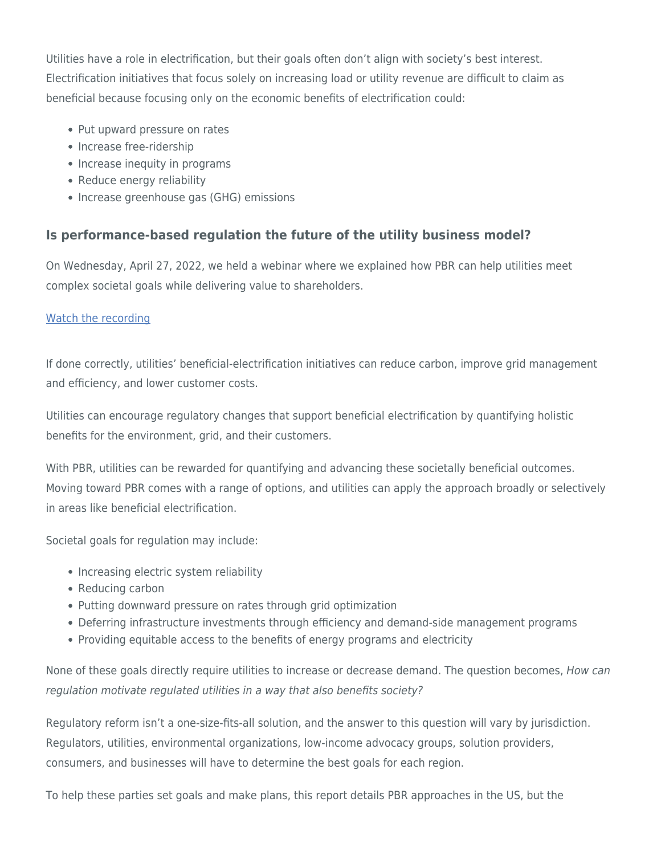Utilities have a role in electrification, but their goals often don't align with society's best interest. Electrification initiatives that focus solely on increasing load or utility revenue are difficult to claim as beneficial because focusing only on the economic benefits of electrification could:

- Put upward pressure on rates
- Increase free-ridership
- Increase inequity in programs
- Reduce energy reliability
- Increase greenhouse gas (GHG) emissions

# **Is performance-based regulation the future of the utility business model?**

On Wednesday, April 27, 2022, we held a webinar where we explained how PBR can help utilities meet complex societal goals while delivering value to shareholders.

#### [Watch the recording](https://www.esource.com/event/130221ocrr/performance-based-regulation-future-utility-business-model)

If done correctly, utilities' beneficial-electrification initiatives can reduce carbon, improve grid management and efficiency, and lower customer costs.

Utilities can encourage regulatory changes that support beneficial electrification by quantifying holistic benefits for the environment, grid, and their customers.

With PBR, utilities can be rewarded for quantifying and advancing these societally beneficial outcomes. Moving toward PBR comes with a range of options, and utilities can apply the approach broadly or selectively in areas like beneficial electrification.

Societal goals for regulation may include:

- Increasing electric system reliability
- Reducing carbon
- Putting downward pressure on rates through grid optimization
- Deferring infrastructure investments through efficiency and demand-side management programs
- Providing equitable access to the benefits of energy programs and electricity

None of these goals directly require utilities to increase or decrease demand. The question becomes, How can regulation motivate regulated utilities in a way that also benefits society?

Regulatory reform isn't a one-size-fits-all solution, and the answer to this question will vary by jurisdiction. Regulators, utilities, environmental organizations, low-income advocacy groups, solution providers, consumers, and businesses will have to determine the best goals for each region.

To help these parties set goals and make plans, this report details PBR approaches in the US, but the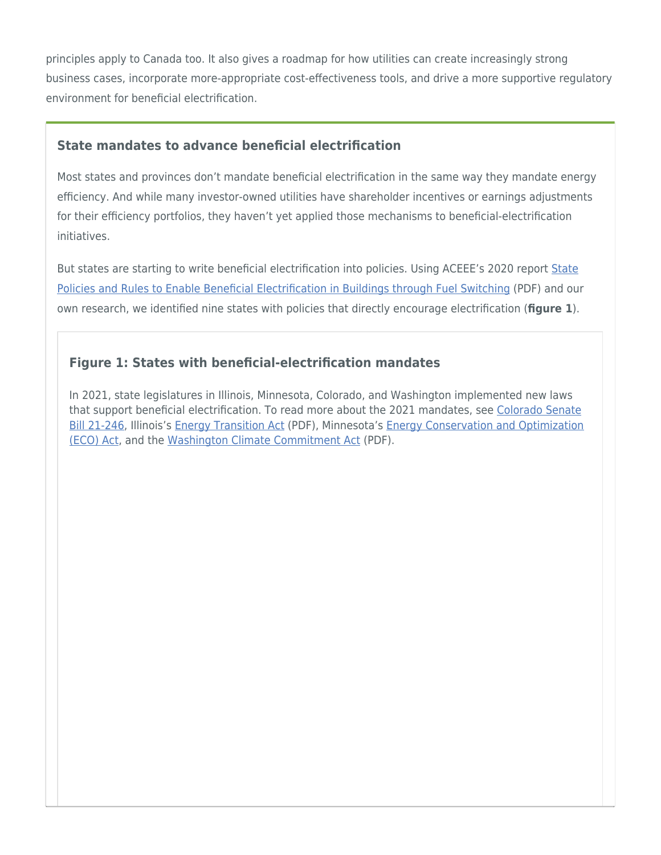principles apply to Canada too. It also gives a roadmap for how utilities can create increasingly strong business cases, incorporate more-appropriate cost-effectiveness tools, and drive a more supportive regulatory environment for beneficial electrification.

## **State mandates to advance beneficial electrification**

Most states and provinces don't mandate beneficial electrification in the same way they mandate energy efficiency. And while many investor-owned utilities have shareholder incentives or earnings adjustments for their efficiency portfolios, they haven't yet applied those mechanisms to beneficial-electrification initiatives.

But states are starting to write beneficial electrification into policies. Using ACEEE's 2020 report [State](https://www.aceee.org/sites/default/files/pdfs/fuel_switch_revised_5-14-20.pdf) [Policies and Rules to Enable Beneficial Electrification in Buildings through Fuel Switching](https://www.aceee.org/sites/default/files/pdfs/fuel_switch_revised_5-14-20.pdf) (PDF) and our own research, we identified nine states with policies that directly encourage electrification (**figure 1**).

# **Figure 1: States with beneficial-electrification mandates**

In 2021, state legislatures in Illinois, Minnesota, Colorado, and Washington implemented new laws that support beneficial electrification. To read more about the 2021 mandates, see [Colorado Senate](https://leg.colorado.gov/bills/sb21-246#:~:text=SB21-246%20Electric%20Utility%20Promote%20Beneficial%20Electrification%20Concerning%20measures,environmental%20and%20labor%20standards%20and%20making%20an%20appropriation.) [Bill 21-246](https://leg.colorado.gov/bills/sb21-246#:~:text=SB21-246%20Electric%20Utility%20Promote%20Beneficial%20Electrification%20Concerning%20measures,environmental%20and%20labor%20standards%20and%20making%20an%20appropriation.), Illinois's [Energy Transition Act](https://www.ilga.gov/legislation/102/SB/PDF/10200SB2408lv.pdf) (PDF), Minnesota's [Energy Conservation and Optimization](https://www.revisor.mn.gov/bills/text.php?number=HF164&type=bill&version=2&session=ls92&session_year=2021&session_number=0) [\(ECO\) Act,](https://www.revisor.mn.gov/bills/text.php?number=HF164&type=bill&version=2&session=ls92&session_year=2021&session_number=0) and the [Washington Climate Commitment Act](https://lawfilesext.leg.wa.gov/biennium/2021-22/Pdf/Bills/Session%20Laws/Senate/5126-S2.SL.pdf) (PDF).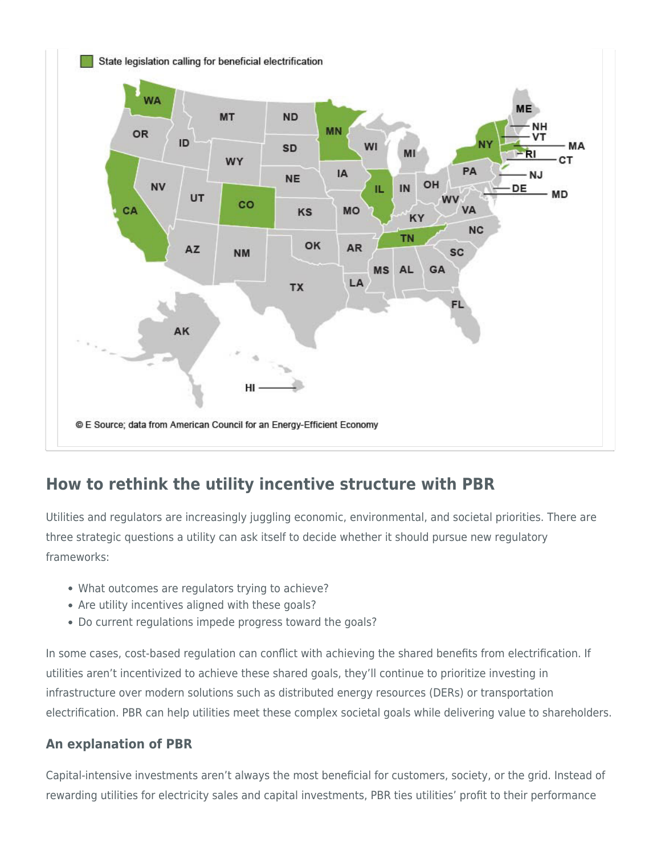

# <span id="page-3-0"></span>**How to rethink the utility incentive structure with PBR**

Utilities and regulators are increasingly juggling economic, environmental, and societal priorities. There are three strategic questions a utility can ask itself to decide whether it should pursue new regulatory frameworks:

- What outcomes are regulators trying to achieve?
- Are utility incentives aligned with these goals?
- Do current regulations impede progress toward the goals?

In some cases, cost-based regulation can conflict with achieving the shared benefits from electrification. If utilities aren't incentivized to achieve these shared goals, they'll continue to prioritize investing in infrastructure over modern solutions such as distributed energy resources (DERs) or transportation electrification. PBR can help utilities meet these complex societal goals while delivering value to shareholders.

# **An explanation of PBR**

Capital-intensive investments aren't always the most beneficial for customers, society, or the grid. Instead of rewarding utilities for electricity sales and capital investments, PBR ties utilities' profit to their performance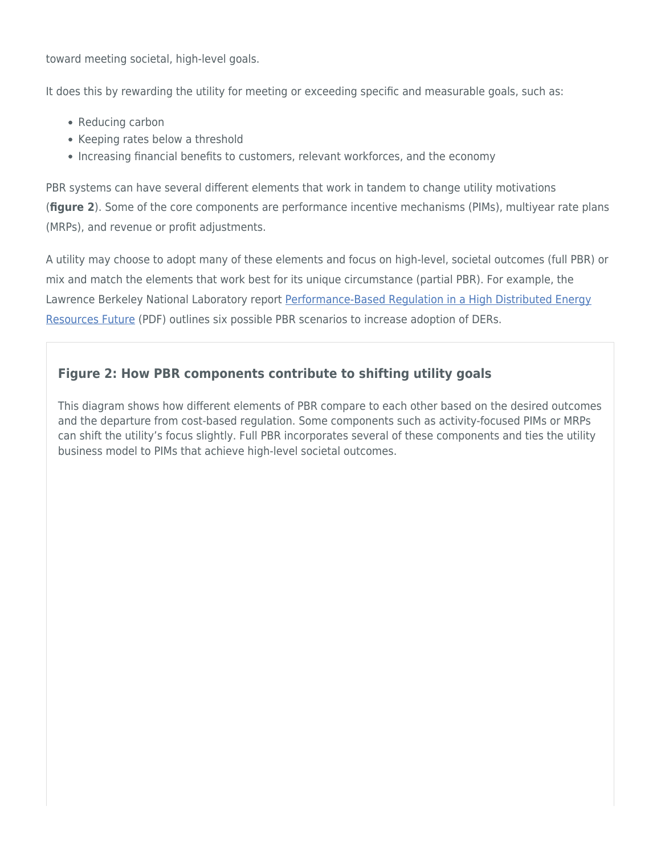toward meeting societal, high-level goals.

It does this by rewarding the utility for meeting or exceeding specific and measurable goals, such as:

- Reducing carbon
- Keeping rates below a threshold
- Increasing financial benefits to customers, relevant workforces, and the economy

PBR systems can have several different elements that work in tandem to change utility motivations (**figure 2**). Some of the core components are performance incentive mechanisms (PIMs), multiyear rate plans (MRPs), and revenue or profit adjustments.

A utility may choose to adopt many of these elements and focus on high-level, societal outcomes (full PBR) or mix and match the elements that work best for its unique circumstance (partial PBR). For example, the Lawrence Berkeley National Laboratory report [Performance-Based Regulation in a High Distributed Energy](https://eta-publications.lbl.gov/sites/default/files/lbnl-1004130.pdf) [Resources Future](https://eta-publications.lbl.gov/sites/default/files/lbnl-1004130.pdf) (PDF) outlines six possible PBR scenarios to increase adoption of DERs.

# **Figure 2: How PBR components contribute to shifting utility goals**

This diagram shows how different elements of PBR compare to each other based on the desired outcomes and the departure from cost-based regulation. Some components such as activity-focused PIMs or MRPs can shift the utility's focus slightly. Full PBR incorporates several of these components and ties the utility business model to PIMs that achieve high-level societal outcomes.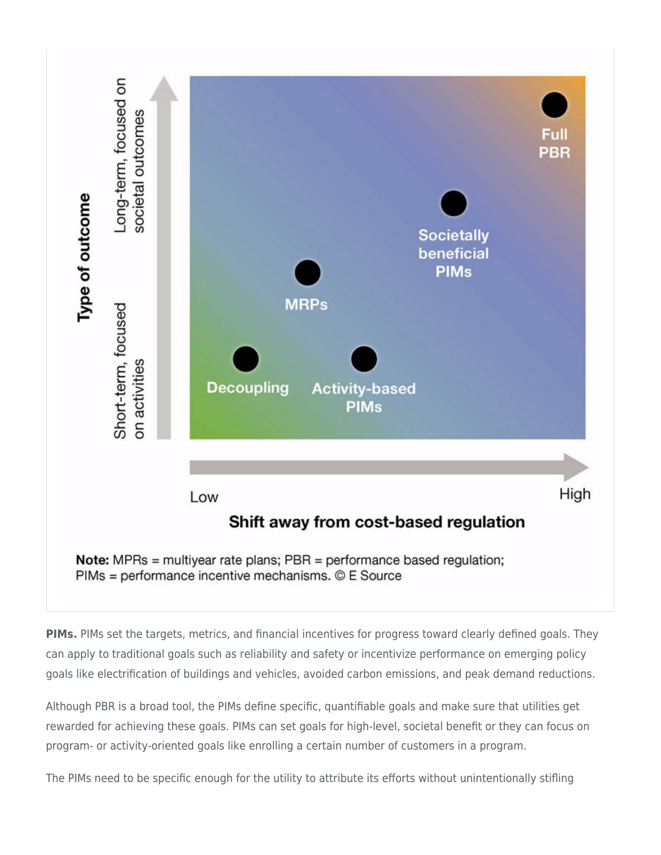

**PIMs.** PIMs set the targets, metrics, and financial incentives for progress toward clearly defined goals. They can apply to traditional goals such as reliability and safety or incentivize performance on emerging policy goals like electrification of buildings and vehicles, avoided carbon emissions, and peak demand reductions.

Although PBR is a broad tool, the PIMs define specific, quantifiable goals and make sure that utilities get rewarded for achieving these goals. PIMs can set goals for high-level, societal benefit or they can focus on program- or activity-oriented goals like enrolling a certain number of customers in a program.

The PIMs need to be specific enough for the utility to attribute its efforts without unintentionally stifling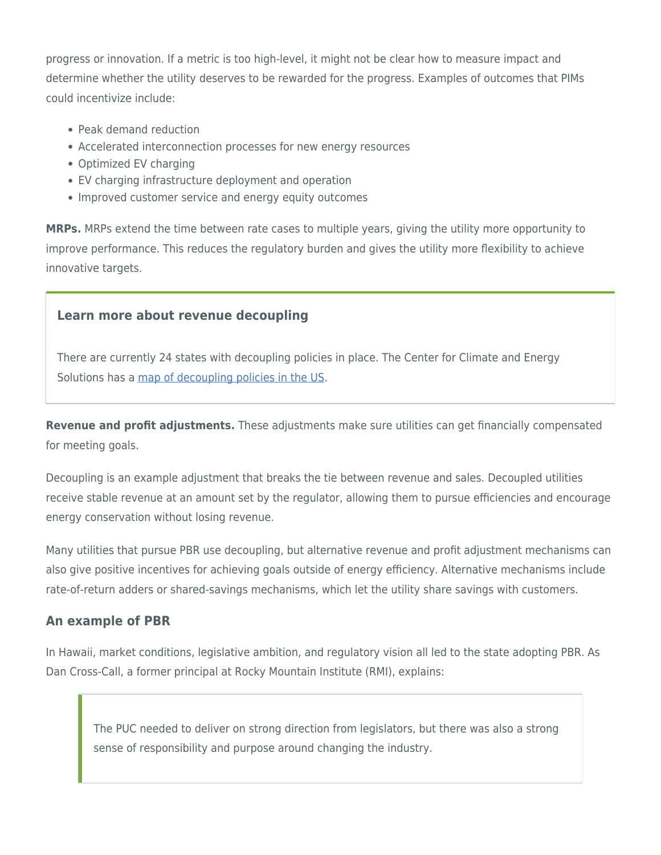progress or innovation. If a metric is too high-level, it might not be clear how to measure impact and determine whether the utility deserves to be rewarded for the progress. Examples of outcomes that PIMs could incentivize include:

- Peak demand reduction
- Accelerated interconnection processes for new energy resources
- Optimized EV charging
- EV charging infrastructure deployment and operation
- Improved customer service and energy equity outcomes

**MRPs.** MRPs extend the time between rate cases to multiple years, giving the utility more opportunity to improve performance. This reduces the regulatory burden and gives the utility more flexibility to achieve innovative targets.

## **Learn more about revenue decoupling**

There are currently 24 states with decoupling policies in place. The Center for Climate and Energy Solutions has a [map of decoupling policies in the US.](https://www.c2es.org/document/decoupling-policies/)

**Revenue and profit adjustments.** These adjustments make sure utilities can get financially compensated for meeting goals.

Decoupling is an example adjustment that breaks the tie between revenue and sales. Decoupled utilities receive stable revenue at an amount set by the regulator, allowing them to pursue efficiencies and encourage energy conservation without losing revenue.

Many utilities that pursue PBR use decoupling, but alternative revenue and profit adjustment mechanisms can also give positive incentives for achieving goals outside of energy efficiency. Alternative mechanisms include rate-of-return adders or shared-savings mechanisms, which let the utility share savings with customers.

#### **An example of PBR**

In Hawaii, market conditions, legislative ambition, and regulatory vision all led to the state adopting PBR. As Dan Cross-Call, a former principal at Rocky Mountain Institute (RMI), explains:

The PUC needed to deliver on strong direction from legislators, but there was also a strong sense of responsibility and purpose around changing the industry.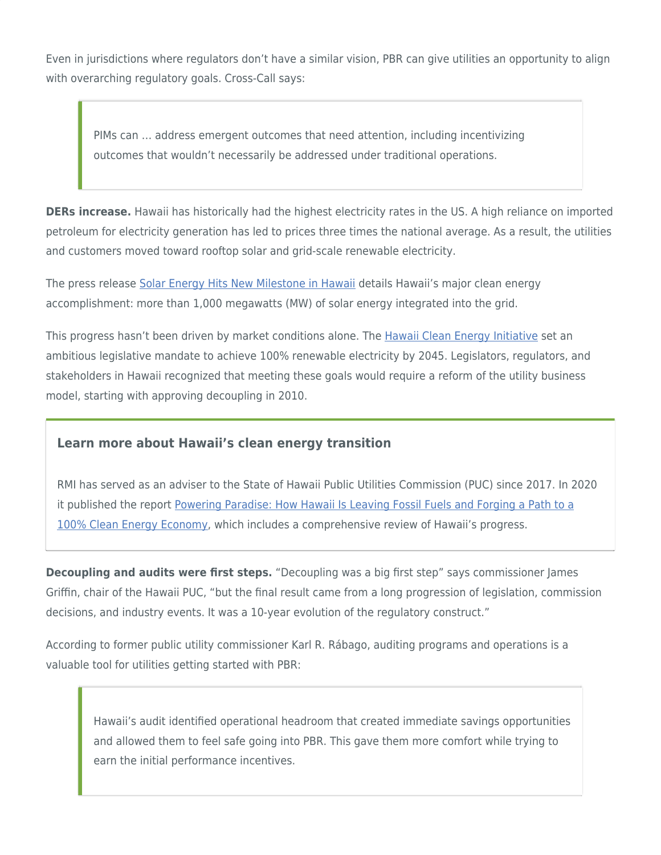Even in jurisdictions where regulators don't have a similar vision, PBR can give utilities an opportunity to align with overarching regulatory goals. Cross-Call says:

PIMs can … address emergent outcomes that need attention, including incentivizing outcomes that wouldn't necessarily be addressed under traditional operations.

**DERs increase.** Hawaii has historically had the highest electricity rates in the US. A high reliance on imported petroleum for electricity generation has led to prices three times the national average. As a result, the utilities and customers moved toward rooftop solar and grid-scale renewable electricity.

The press release [Solar Energy Hits New Milestone in Hawaii](https://bigislandgazette.com/solar-energy-hits-new-milestone-in-hawaii/) details Hawaii's major clean energy accomplishment: more than 1,000 megawatts (MW) of solar energy integrated into the grid.

This progress hasn't been driven by market conditions alone. The [Hawaii Clean Energy Initiative](http://energy.hawaii.gov/hcei) set an ambitious legislative mandate to achieve 100% renewable electricity by 2045. Legislators, regulators, and stakeholders in Hawaii recognized that meeting these goals would require a reform of the utility business model, starting with approving decoupling in 2010.

#### **Learn more about Hawaii's clean energy transition**

RMI has served as an adviser to the State of Hawaii Public Utilities Commission (PUC) since 2017. In 2020 it published the report [Powering Paradise: How Hawaii Is Leaving Fossil Fuels and Forging a Path to a](http://www.rmi.org/insight/powering-paradise) [100% Clean Energy Economy,](http://www.rmi.org/insight/powering-paradise) which includes a comprehensive review of Hawaii's progress.

**Decoupling and audits were first steps.** "Decoupling was a big first step" says commissioner James Griffin, chair of the Hawaii PUC, "but the final result came from a long progression of legislation, commission decisions, and industry events. It was a 10-year evolution of the regulatory construct."

According to former public utility commissioner Karl R. Rábago, auditing programs and operations is a valuable tool for utilities getting started with PBR:

Hawaii's audit identified operational headroom that created immediate savings opportunities and allowed them to feel safe going into PBR. This gave them more comfort while trying to earn the initial performance incentives.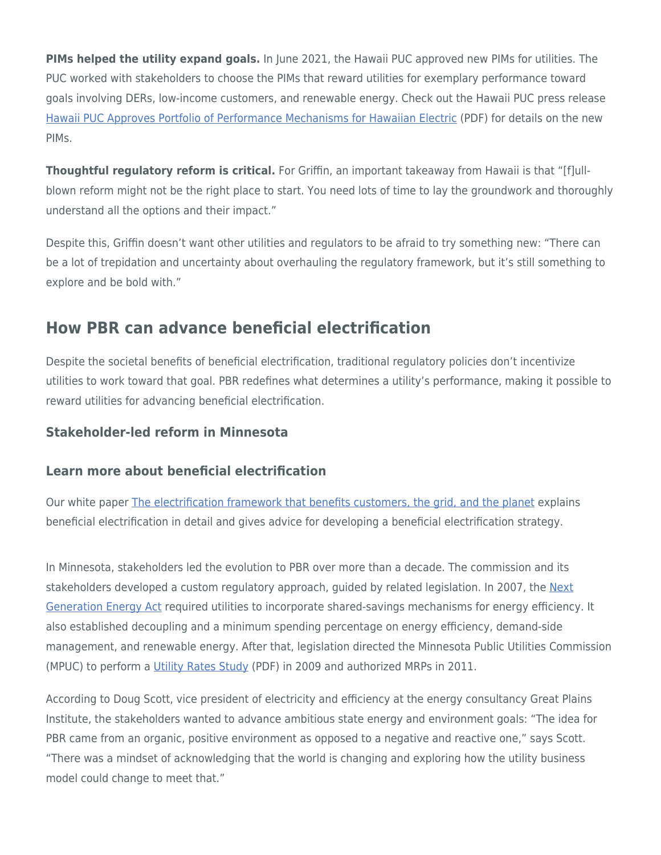**PIMs helped the utility expand goals.** In June 2021, the Hawaii PUC approved new PIMs for utilities. The PUC worked with stakeholders to choose the PIMs that reward utilities for exemplary performance toward goals involving DERs, low-income customers, and renewable energy. Check out the Hawaii PUC press release [Hawaii PUC Approves Portfolio of Performance Mechanisms for Hawaiian Electric](https://puc.hawaii.gov/wp-content/uploads/2021/06/PBR-PIM-DO-Press-Release.Final_.V2.06-01-2021.pdf) (PDF) for details on the new PIMs.

**Thoughtful regulatory reform is critical.** For Griffin, an important takeaway from Hawaii is that "[f]ullblown reform might not be the right place to start. You need lots of time to lay the groundwork and thoroughly understand all the options and their impact."

Despite this, Griffin doesn't want other utilities and regulators to be afraid to try something new: "There can be a lot of trepidation and uncertainty about overhauling the regulatory framework, but it's still something to explore and be bold with."

# <span id="page-8-0"></span>**How PBR can advance beneficial electrification**

Despite the societal benefits of beneficial electrification, traditional regulatory policies don't incentivize utilities to work toward that goal. PBR redefines what determines a utility's performance, making it possible to reward utilities for advancing beneficial electrification.

## **Stakeholder-led reform in Minnesota**

#### **Learn more about beneficial electrification**

Our white paper [The electrification framework that benefits customers, the grid, and the planet](https://www.esource.com/130201fytm/electrification-framework-benefits-customers-grid-and-planet) explains beneficial electrification in detail and gives advice for developing a beneficial electrification strategy.

In Minnesota, stakeholders led the evolution to PBR over more than a decade. The commission and its stakeholders developed a custom regulatory approach, guided by related legislation. In 2007, the [Next](https://www.revisor.mn.gov/bills/text.php?number=SF145&version=A&session=ls85&session_year=2007&session_number=0&type=ccr) [Generation Energy Act](https://www.revisor.mn.gov/bills/text.php?number=SF145&version=A&session=ls85&session_year=2007&session_number=0&type=ccr) required utilities to incorporate shared-savings mechanisms for energy efficiency. It also established decoupling and a minimum spending percentage on energy efficiency, demand-side management, and renewable energy. After that, legislation directed the Minnesota Public Utilities Commission (MPUC) to perform a [Utility Rates Study](https://mn.gov/puc/assets/012854_tcm14-5188.pdf) (PDF) in 2009 and authorized MRPs in 2011.

According to Doug Scott, vice president of electricity and efficiency at the energy consultancy Great Plains Institute, the stakeholders wanted to advance ambitious state energy and environment goals: "The idea for PBR came from an organic, positive environment as opposed to a negative and reactive one," says Scott. "There was a mindset of acknowledging that the world is changing and exploring how the utility business model could change to meet that."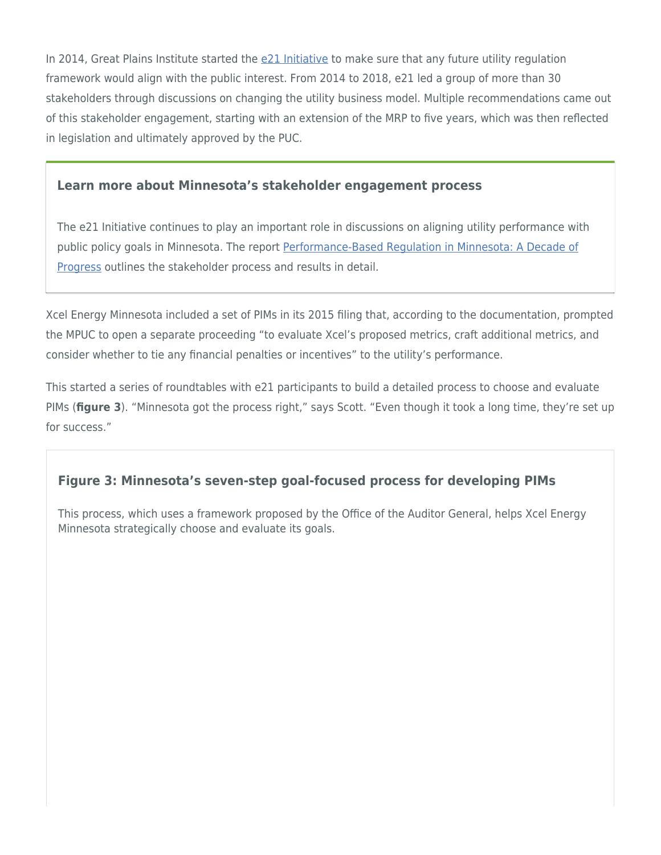In 2014, Great Plains Institute started the [e21 Initiative](https://e21initiative.org/) to make sure that any future utility regulation framework would align with the public interest. From 2014 to 2018, e21 led a group of more than 30 stakeholders through discussions on changing the utility business model. Multiple recommendations came out of this stakeholder engagement, starting with an extension of the MRP to five years, which was then reflected in legislation and ultimately approved by the PUC.

#### **Learn more about Minnesota's stakeholder engagement process**

The e21 Initiative continues to play an important role in discussions on aligning utility performance with public policy goals in Minnesota. The report [Performance-Based Regulation in Minnesota: A Decade of](https://e21initiative.org/performance-based-regulation-in-minnesota-a-decade-of-progress/) [Progress](https://e21initiative.org/performance-based-regulation-in-minnesota-a-decade-of-progress/) outlines the stakeholder process and results in detail.

Xcel Energy Minnesota included a set of PIMs in its 2015 filing that, according to the documentation, prompted the MPUC to open a separate proceeding "to evaluate Xcel's proposed metrics, craft additional metrics, and consider whether to tie any financial penalties or incentives" to the utility's performance.

This started a series of roundtables with e21 participants to build a detailed process to choose and evaluate PIMs (**figure 3**). "Minnesota got the process right," says Scott. "Even though it took a long time, they're set up for success."

# **Figure 3: Minnesota's seven-step goal-focused process for developing PIMs**

This process, which uses a framework proposed by the Office of the Auditor General, helps Xcel Energy Minnesota strategically choose and evaluate its goals.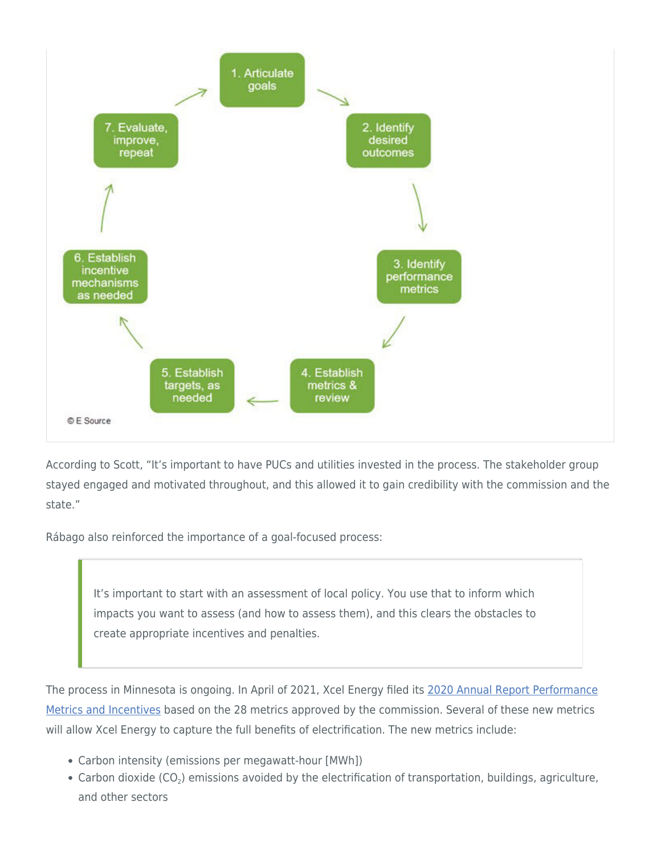

According to Scott, "It's important to have PUCs and utilities invested in the process. The stakeholder group stayed engaged and motivated throughout, and this allowed it to gain credibility with the commission and the state."

Rábago also reinforced the importance of a goal-focused process:

It's important to start with an assessment of local policy. You use that to inform which impacts you want to assess (and how to assess them), and this clears the obstacles to create appropriate incentives and penalties.

The process in Minnesota is ongoing. In April of 2021, Xcel Energy filed its [2020 Annual Report Performance](https://efiling.web.commerce.state.mn.us/edockets/searchDocuments.do?method=showPoup&documentId=%7bD05E2479-0000-C71A-9A90-2F3283EF01A6%7d&documentTitle=20214-173702-01) [Metrics and Incentives](https://efiling.web.commerce.state.mn.us/edockets/searchDocuments.do?method=showPoup&documentId=%7bD05E2479-0000-C71A-9A90-2F3283EF01A6%7d&documentTitle=20214-173702-01) based on the 28 metrics approved by the commission. Several of these new metrics will allow Xcel Energy to capture the full benefits of electrification. The new metrics include:

- Carbon intensity (emissions per megawatt-hour [MWh])
- Carbon dioxide (CO<sub>2</sub>) emissions avoided by the electrification of transportation, buildings, agriculture, and other sectors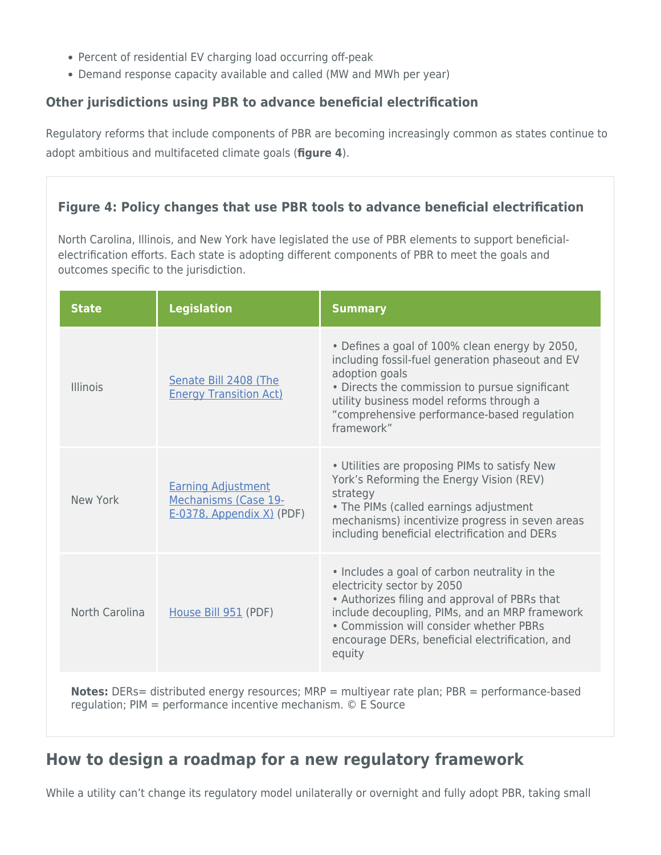- Percent of residential EV charging load occurring off-peak
- Demand response capacity available and called (MW and MWh per year)

# **Other jurisdictions using PBR to advance beneficial electrification**

Regulatory reforms that include components of PBR are becoming increasingly common as states continue to adopt ambitious and multifaceted climate goals (**figure 4**).

# **Figure 4: Policy changes that use PBR tools to advance beneficial electrification**

North Carolina, Illinois, and New York have legislated the use of PBR elements to support beneficialelectrification efforts. Each state is adopting different components of PBR to meet the goals and outcomes specific to the jurisdiction.

| <b>State</b>                                                                                         | <b>Legislation</b>                                                                | <b>Summary</b>                                                                                                                                                                                                                                                                         |
|------------------------------------------------------------------------------------------------------|-----------------------------------------------------------------------------------|----------------------------------------------------------------------------------------------------------------------------------------------------------------------------------------------------------------------------------------------------------------------------------------|
| Illinois                                                                                             | Senate Bill 2408 (The<br><b>Energy Transition Act)</b>                            | • Defines a goal of 100% clean energy by 2050,<br>including fossil-fuel generation phaseout and EV<br>adoption goals<br>• Directs the commission to pursue significant<br>utility business model reforms through a<br>"comprehensive performance-based regulation<br>framework"        |
| New York                                                                                             | <b>Earning Adjustment</b><br>Mechanisms (Case 19-<br>$E-0378$ , Appendix X) (PDF) | • Utilities are proposing PIMs to satisfy New<br>York's Reforming the Energy Vision (REV)<br>strategy<br>• The PIMs (called earnings adjustment<br>mechanisms) incentivize progress in seven areas<br>including beneficial electrification and DERs                                    |
| North Carolina                                                                                       | House Bill 951 (PDF)                                                              | • Includes a goal of carbon neutrality in the<br>electricity sector by 2050<br>• Authorizes filing and approval of PBRs that<br>include decoupling, PIMs, and an MRP framework<br>• Commission will consider whether PBRs<br>encourage DERs, beneficial electrification, and<br>equity |
| <b>Notes:</b> DERs= distributed energy resources; MRP = multiyear rate plan; PBR = performance-based |                                                                                   |                                                                                                                                                                                                                                                                                        |

regulation; PIM = performance incentive mechanism. © E Source

# <span id="page-11-0"></span>**How to design a roadmap for a new regulatory framework**

While a utility can't change its regulatory model unilaterally or overnight and fully adopt PBR, taking small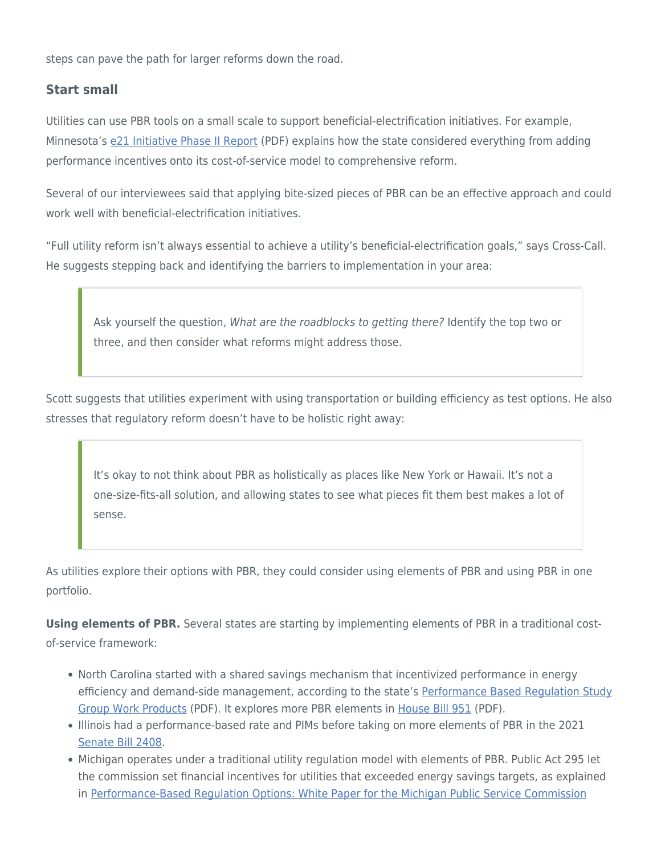steps can pave the path for larger reforms down the road.

## **Start small**

Utilities can use PBR tools on a small scale to support beneficial-electrification initiatives. For example, Minnesota's [e21 Initiative Phase II Report](https://e21initiative.org/wp-content/uploads/2018/01/e21_Initiative_PhaseII_Report_2016.pdf) (PDF) explains how the state considered everything from adding performance incentives onto its cost-of-service model to comprehensive reform.

Several of our interviewees said that applying bite-sized pieces of PBR can be an effective approach and could work well with beneficial-electrification initiatives.

"Full utility reform isn't always essential to achieve a utility's beneficial-electrification goals," says Cross-Call. He suggests stepping back and identifying the barriers to implementation in your area:

Ask yourself the question, What are the roadblocks to getting there? Identify the top two or three, and then consider what reforms might address those.

Scott suggests that utilities experiment with using transportation or building efficiency as test options. He also stresses that regulatory reform doesn't have to be holistic right away:

It's okay to not think about PBR as holistically as places like New York or Hawaii. It's not a one-size-fits-all solution, and allowing states to see what pieces fit them best makes a lot of sense.

As utilities explore their options with PBR, they could consider using elements of PBR and using PBR in one portfolio.

**Using elements of PBR.** Several states are starting by implementing elements of PBR in a traditional costof-service framework:

- North Carolina started with a shared savings mechanism that incentivized performance in energy efficiency and demand-side management, according to the state's [Performance Based Regulation Study](https://files.nc.gov/ncdeq/climate-change/clean-energy-plan/PBR-Study-Group-Work-Products-FINAL.pdf) [Group Work Products](https://files.nc.gov/ncdeq/climate-change/clean-energy-plan/PBR-Study-Group-Work-Products-FINAL.pdf) (PDF). It explores more PBR elements in [House Bill 951](https://ncleg.gov/Sessions/2021/Bills/House/PDF/H951v6.pdf) (PDF).
	- Illinois had a performance-based rate and PIMs before taking on more elements of PBR in the 2021 [Senate Bill 2408](https://legiscan.com/IL/bill/SB2408/2021).
	- Michigan operates under a traditional utility regulation model with elements of PBR. Public Act 295 let the commission set financial incentives for utilities that exceeded energy savings targets, as explained in [Performance-Based Regulation Options: White Paper for the Michigan Public Service Commission](https://www.raponline.org/wp-content/uploads/2017/08/rap-littell-shipley-performance-based-regulation-options-august2017_1.pdf)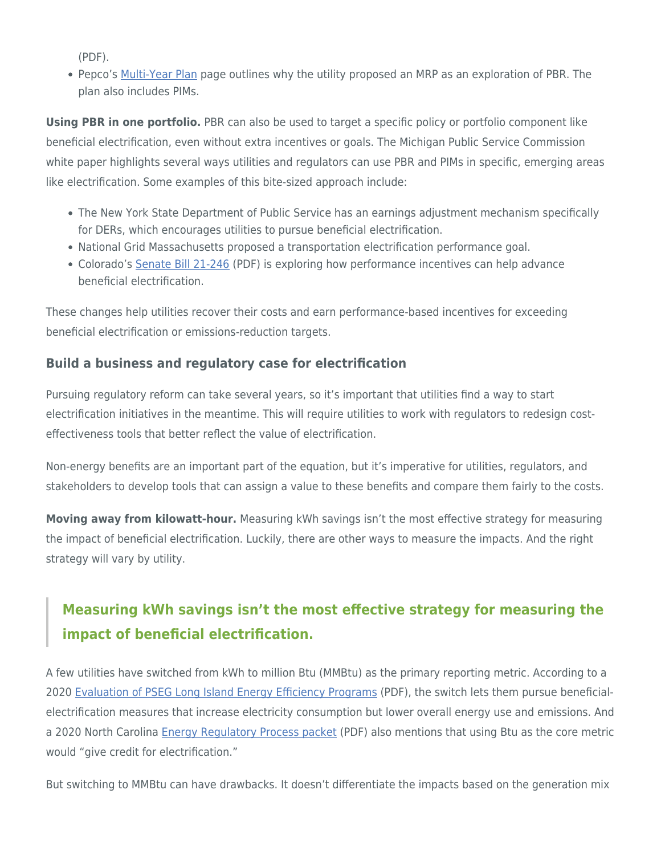(PDF).

Pepco's [Multi-Year Plan](https://www.pepco.com/MyAccount/MyBillUsage/Pages/MultiYearPlan.aspx) page outlines why the utility proposed an MRP as an exploration of PBR. The plan also includes PIMs.

**Using PBR in one portfolio.** PBR can also be used to target a specific policy or portfolio component like beneficial electrification, even without extra incentives or goals. The Michigan Public Service Commission white paper highlights several ways utilities and regulators can use PBR and PIMs in specific, emerging areas like electrification. Some examples of this bite-sized approach include:

- The New York State Department of Public Service has an earnings adjustment mechanism specifically for DERs, which encourages utilities to pursue beneficial electrification.
- National Grid Massachusetts proposed a transportation electrification performance goal.
- Colorado's [Senate Bill 21-246](http://leg.colorado.gov/sites/default/files/2021a_246_signed.pdf) (PDF) is exploring how performance incentives can help advance beneficial electrification.

These changes help utilities recover their costs and earn performance-based incentives for exceeding beneficial electrification or emissions-reduction targets.

# **Build a business and regulatory case for electrification**

Pursuing regulatory reform can take several years, so it's important that utilities find a way to start electrification initiatives in the meantime. This will require utilities to work with regulators to redesign costeffectiveness tools that better reflect the value of electrification.

Non-energy benefits are an important part of the equation, but it's imperative for utilities, regulators, and stakeholders to develop tools that can assign a value to these benefits and compare them fairly to the costs.

**Moving away from kilowatt-hour.** Measuring kWh savings isn't the most effective strategy for measuring the impact of beneficial electrification. Luckily, there are other ways to measure the impacts. And the right strategy will vary by utility.

# **Measuring kWh savings isn't the most effective strategy for measuring the impact of beneficial electrification.**

A few utilities have switched from kWh to million Btu (MMBtu) as the primary reporting metric. According to a 2020 [Evaluation of PSEG Long Island Energy Efficiency Programs](https://www.lipower.org/wp-content/uploads/2021/06/2020-Annual-Report-Volume-II-Final.pdf) (PDF), the switch lets them pursue beneficialelectrification measures that increase electricity consumption but lower overall energy use and emissions. And a 2020 North Carolina [Energy Regulatory Process packet](https://files.nc.gov/ncdeq/climate-change/clean-energy-plan/PBR-Study-Group-Work-Products-FINAL.pdf) (PDF) also mentions that using Btu as the core metric would "give credit for electrification."

But switching to MMBtu can have drawbacks. It doesn't differentiate the impacts based on the generation mix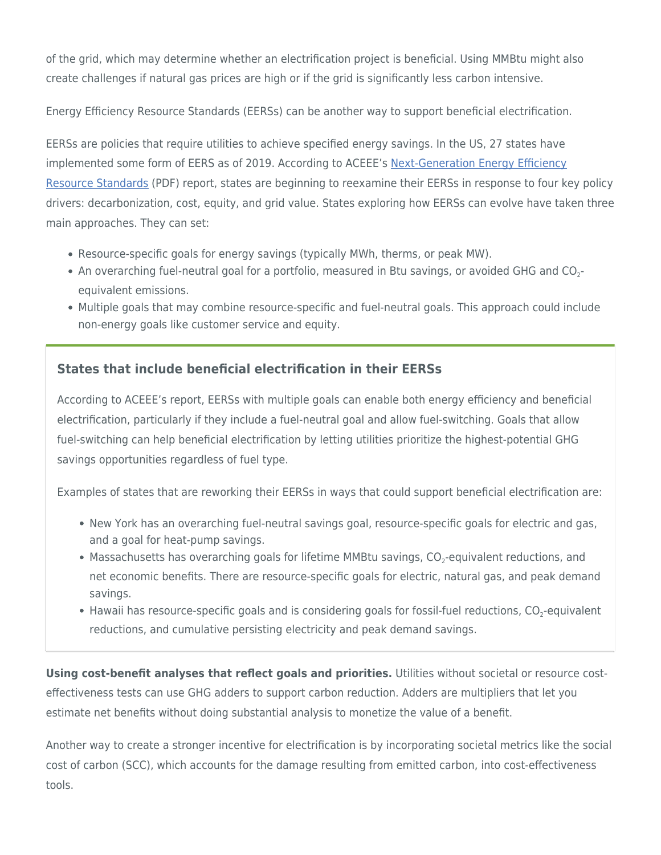of the grid, which may determine whether an electrification project is beneficial. Using MMBtu might also create challenges if natural gas prices are high or if the grid is significantly less carbon intensive.

Energy Efficiency Resource Standards (EERSs) can be another way to support beneficial electrification.

EERSs are policies that require utilities to achieve specified energy savings. In the US, 27 states have implemented some form of EERS as of 2019. According to ACEEE's [Next-Generation Energy Efficiency](https://www.aceee.org/sites/default/files/publications/researchreports/u1905.pdf) [Resource Standards](https://www.aceee.org/sites/default/files/publications/researchreports/u1905.pdf) (PDF) report, states are beginning to reexamine their EERSs in response to four key policy drivers: decarbonization, cost, equity, and grid value. States exploring how EERSs can evolve have taken three main approaches. They can set:

- Resource-specific goals for energy savings (typically MWh, therms, or peak MW).
- An overarching fuel-neutral goal for a portfolio, measured in Btu savings, or avoided GHG and  $\rm CO_2\text{-}$ equivalent emissions.
- Multiple goals that may combine resource-specific and fuel-neutral goals. This approach could include non-energy goals like customer service and equity.

# **States that include beneficial electrification in their EERSs**

According to ACEEE's report, EERSs with multiple goals can enable both energy efficiency and beneficial electrification, particularly if they include a fuel-neutral goal and allow fuel-switching. Goals that allow fuel-switching can help beneficial electrification by letting utilities prioritize the highest-potential GHG savings opportunities regardless of fuel type.

Examples of states that are reworking their EERSs in ways that could support beneficial electrification are:

- New York has an overarching fuel-neutral savings goal, resource-specific goals for electric and gas, and a goal for heat-pump savings.
- Massachusetts has overarching goals for lifetime MMBtu savings,  $\textsf{CO}_2\textsf{-equivalent}$  reductions, and net economic benefits. There are resource-specific goals for electric, natural gas, and peak demand savings.
- Hawaii has resource-specific goals and is considering goals for fossil-fuel reductions,  $\mathrm{CO}_2$ -equivalent reductions, and cumulative persisting electricity and peak demand savings.

**Using cost-benefit analyses that reflect goals and priorities.** Utilities without societal or resource costeffectiveness tests can use GHG adders to support carbon reduction. Adders are multipliers that let you estimate net benefits without doing substantial analysis to monetize the value of a benefit.

Another way to create a stronger incentive for electrification is by incorporating societal metrics like the social cost of carbon (SCC), which accounts for the damage resulting from emitted carbon, into cost-effectiveness tools.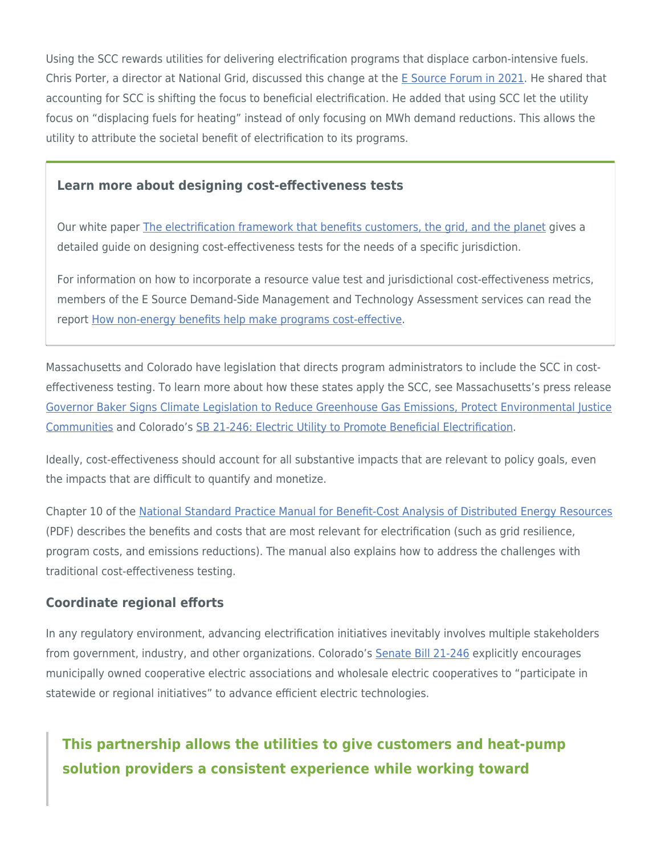Using the SCC rewards utilities for delivering electrification programs that displace carbon-intensive fuels. Chris Porter, a director at National Grid, discussed this change at the [E Source Forum in 2021.](https://www.esource.com/forum2021) He shared that accounting for SCC is shifting the focus to beneficial electrification. He added that using SCC let the utility focus on "displacing fuels for heating" instead of only focusing on MWh demand reductions. This allows the utility to attribute the societal benefit of electrification to its programs.

#### **Learn more about designing cost-effectiveness tests**

Our white paper [The electrification framework that benefits customers, the grid, and the planet](https://www.esource.com/130201fytm/electrification-framework-benefits-customers-grid-and-planet) gives a detailed guide on designing cost-effectiveness tests for the needs of a specific jurisdiction.

For information on how to incorporate a resource value test and jurisdictional cost-effectiveness metrics, members of the E Source Demand-Side Management and Technology Assessment services can read the report [How non-energy benefits help make programs cost-effective](https://www.esource.com/129201drdn/how-non-energy-benefits-help-make-programs-cost-effective).

Massachusetts and Colorado have legislation that directs program administrators to include the SCC in costeffectiveness testing. To learn more about how these states apply the SCC, see Massachusetts's press release [Governor Baker Signs Climate Legislation to Reduce Greenhouse Gas Emissions, Protect Environmental Justice](https://www.mass.gov/news/governor-baker-signs-climate-legislation-to-reduce-greenhouse-gas-emissions-protect-environmental-justice-communities) [Communities](https://www.mass.gov/news/governor-baker-signs-climate-legislation-to-reduce-greenhouse-gas-emissions-protect-environmental-justice-communities) and Colorado's [SB 21-246: Electric Utility to Promote Beneficial Electrification](https://leg.colorado.gov/bills/sb21-246#:~:text=SB21-246%20Electric%20Utility%20Promote%20Beneficial%20Electrification%20Concerning%20measures,environmental%20and%20labor%20standards%20and%20making%20an%20appropriation.).

Ideally, cost-effectiveness should account for all substantive impacts that are relevant to policy goals, even the impacts that are difficult to quantify and monetize.

Chapter 10 of the [National Standard Practice Manual for Benefit-Cost Analysis of Distributed Energy Resources](https://www.nationalenergyscreeningproject.org/wp-content/uploads/2020/08/NSPM-Summary_08-24-2020.pdf) (PDF) describes the benefits and costs that are most relevant for electrification (such as grid resilience, program costs, and emissions reductions). The manual also explains how to address the challenges with traditional cost-effectiveness testing.

#### **Coordinate regional efforts**

In any regulatory environment, advancing electrification initiatives inevitably involves multiple stakeholders from government, industry, and other organizations. Colorado's [Senate Bill 21-246](https://leg.colorado.gov/bills/sb21-246) explicitly encourages municipally owned cooperative electric associations and wholesale electric cooperatives to "participate in statewide or regional initiatives" to advance efficient electric technologies.

# **This partnership allows the utilities to give customers and heat-pump solution providers a consistent experience while working toward**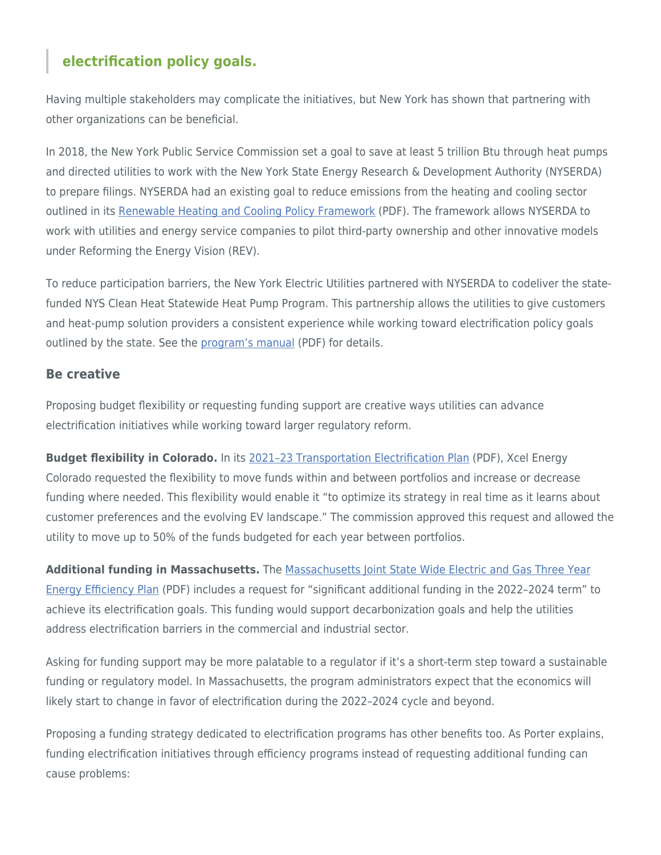# **electrification policy goals.**

Having multiple stakeholders may complicate the initiatives, but New York has shown that partnering with other organizations can be beneficial.

In 2018, the New York Public Service Commission set a goal to save at least 5 trillion Btu through heat pumps and directed utilities to work with the New York State Energy Research & Development Authority (NYSERDA) to prepare filings. NYSERDA had an existing goal to reduce emissions from the heating and cooling sector outlined in its [Renewable Heating and Cooling Policy Framework](https://www.nyserda.ny.gov/-/media/Files/Publications/PPSER/NYSERDA/RHC-Framework.ashx) (PDF). The framework allows NYSERDA to work with utilities and energy service companies to pilot third-party ownership and other innovative models under Reforming the Energy Vision (REV).

To reduce participation barriers, the New York Electric Utilities partnered with NYSERDA to codeliver the statefunded NYS Clean Heat Statewide Heat Pump Program. This partnership allows the utilities to give customers and heat-pump solution providers a consistent experience while working toward electrification policy goals outlined by the state. See the [program's manual](https://saveenergy.ny.gov/NYScleanheat/assets/pdf/NYS-Clean-Heat-Program-Manual.pdf#:~:text=The%20NYS%20Clean%20Heat%20Program%2C%20a%20collaborative%20effort,experience%20and%20business%20environment%20throughout%20New%20York%20State.3) (PDF) for details.

#### **Be creative**

Proposing budget flexibility or requesting funding support are creative ways utilities can advance electrification initiatives while working toward larger regulatory reform.

**Budget flexibility in Colorado.** In its [2021–23 Transportation Electrification Plan](https://www.xcelenergy.com/staticfiles/xe-responsive/Company/Rates%20&%20Regulations/Regulatory%20Filings/20A-0204E-_2021-2023_TEP_Updated.pdf) (PDF), Xcel Energy Colorado requested the flexibility to move funds within and between portfolios and increase or decrease funding where needed. This flexibility would enable it "to optimize its strategy in real time as it learns about customer preferences and the evolving EV landscape." The commission approved this request and allowed the utility to move up to 50% of the funds budgeted for each year between portfolios.

**Additional funding in Massachusetts.** The [Massachusetts Joint State Wide Electric and Gas Three Year](https://insights.esource.com/documents/Multiple%20Utilities%20-%20MA%20-%2011.1.2021%20-%202022-2024%20Energy%20Efficiency%20Plan%20-%20Multiple%20Dockets.pdf) [Energy Efficiency Plan](https://insights.esource.com/documents/Multiple%20Utilities%20-%20MA%20-%2011.1.2021%20-%202022-2024%20Energy%20Efficiency%20Plan%20-%20Multiple%20Dockets.pdf) (PDF) includes a request for "significant additional funding in the 2022–2024 term" to achieve its electrification goals. This funding would support decarbonization goals and help the utilities address electrification barriers in the commercial and industrial sector.

Asking for funding support may be more palatable to a regulator if it's a short-term step toward a sustainable funding or regulatory model. In Massachusetts, the program administrators expect that the economics will likely start to change in favor of electrification during the 2022–2024 cycle and beyond.

Proposing a funding strategy dedicated to electrification programs has other benefits too. As Porter explains, funding electrification initiatives through efficiency programs instead of requesting additional funding can cause problems: